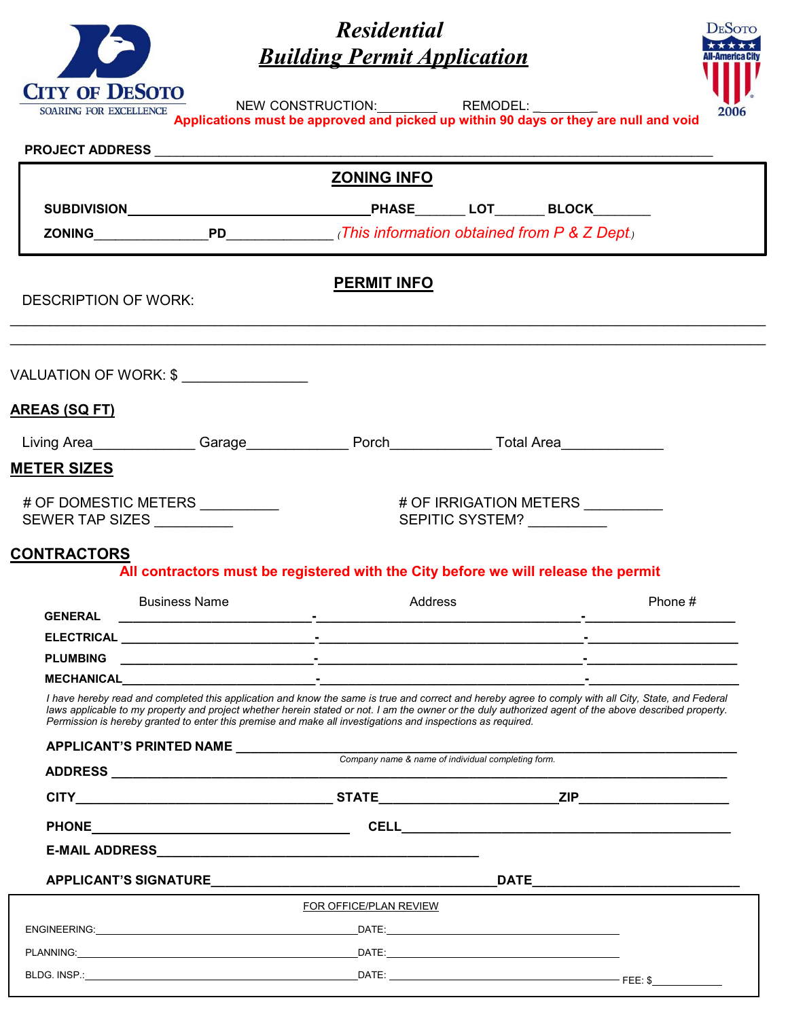| <b>CITY OF DESOTO</b>         |
|-------------------------------|
| <b>SOARING FOR EXCELLENCE</b> |



*Residential Building Permit Application* NEW CONSTRUCTION: REMODEL: **Applications must be approved and picked up within 90 days or they are null and void PROJECT ADDRESS** \_\_\_\_\_\_\_\_\_\_\_\_\_\_\_\_\_\_\_\_\_\_\_\_\_\_\_\_\_\_\_\_\_\_\_\_\_\_\_\_\_\_\_\_\_\_\_\_\_\_\_\_\_\_\_\_\_\_\_\_\_\_\_\_\_\_\_\_\_\_\_\_\_\_\_\_\_\_  **PERMIT INFO** DESCRIPTION OF WORK: \_\_\_\_\_\_\_\_\_\_\_\_\_\_\_\_\_\_\_\_\_\_\_\_\_\_\_\_\_\_\_\_\_\_\_\_\_\_\_\_\_\_\_\_\_\_\_\_\_\_\_\_\_\_\_\_\_\_\_\_\_\_\_\_\_\_\_\_\_\_\_\_\_\_\_\_\_\_\_\_\_\_\_\_\_\_\_\_\_\_\_\_\_\_\_\_ \_\_\_\_\_\_\_\_\_\_\_\_\_\_\_\_\_\_\_\_\_\_\_\_\_\_\_\_\_\_\_\_\_\_\_\_\_\_\_\_\_\_\_\_\_\_\_\_\_\_\_\_\_\_\_\_\_\_\_\_\_\_\_\_\_\_\_\_\_\_\_\_\_\_\_\_\_\_\_\_\_\_\_\_\_\_\_\_\_\_\_\_\_\_\_\_ VALUATION OF WORK: \$ \_\_\_\_\_\_\_\_\_\_\_\_\_\_\_\_ **AREAS (SQ FT)** Living Area \_\_\_\_\_\_\_\_\_\_\_\_\_Garage\_\_\_\_\_\_\_\_\_\_\_\_\_\_Porch\_\_\_\_\_\_\_\_\_\_\_\_\_\_\_\_\_\_\_\_\_\_\_\_\_\_\_\_\_\_ **METER SIZES** # OF DOMESTIC METERS \_\_\_\_\_\_\_\_\_\_ # OF IRRIGATION METERS \_\_\_\_\_\_\_\_\_\_ SEWER TAP SIZES \_\_\_\_\_\_\_\_\_\_  **ZONING INFO SUBDIVISION PHASE**\_\_\_\_\_\_\_ **LOT**\_\_\_\_\_\_\_ **BLOCK**\_\_\_\_\_\_\_\_  **ZONING**\_\_\_\_\_\_\_\_\_\_\_\_\_\_\_\_**PD**\_\_\_\_\_\_\_\_\_\_\_\_\_\_\_ *(This information obtained from P & Z Dept.)*

## **CONTRACTORS**

**All contractors must be registered with the City before we will release the permit**

| <b>Business Name</b> | Address | Phone # |
|----------------------|---------|---------|
| <b>GENERAL</b>       |         |         |
| <b>ELECTRICAL</b>    |         |         |
| <b>PLUMBING</b>      |         |         |
| <b>MECHANICAL</b>    | $\sim$  |         |

I have hereby read and completed this application and know the same is true and correct and hereby agree to comply with all City, State, and Federal laws applicable to my property and project whether herein stated or not. I am the owner or the duly authorized agent of the above described property. *Permission is hereby granted to enter this premise and make all investigations and inspections as required.*

|  | FOR OFFICE/PLAN REVIEW |  |  |
|--|------------------------|--|--|
|  |                        |  |  |
|  |                        |  |  |
|  |                        |  |  |